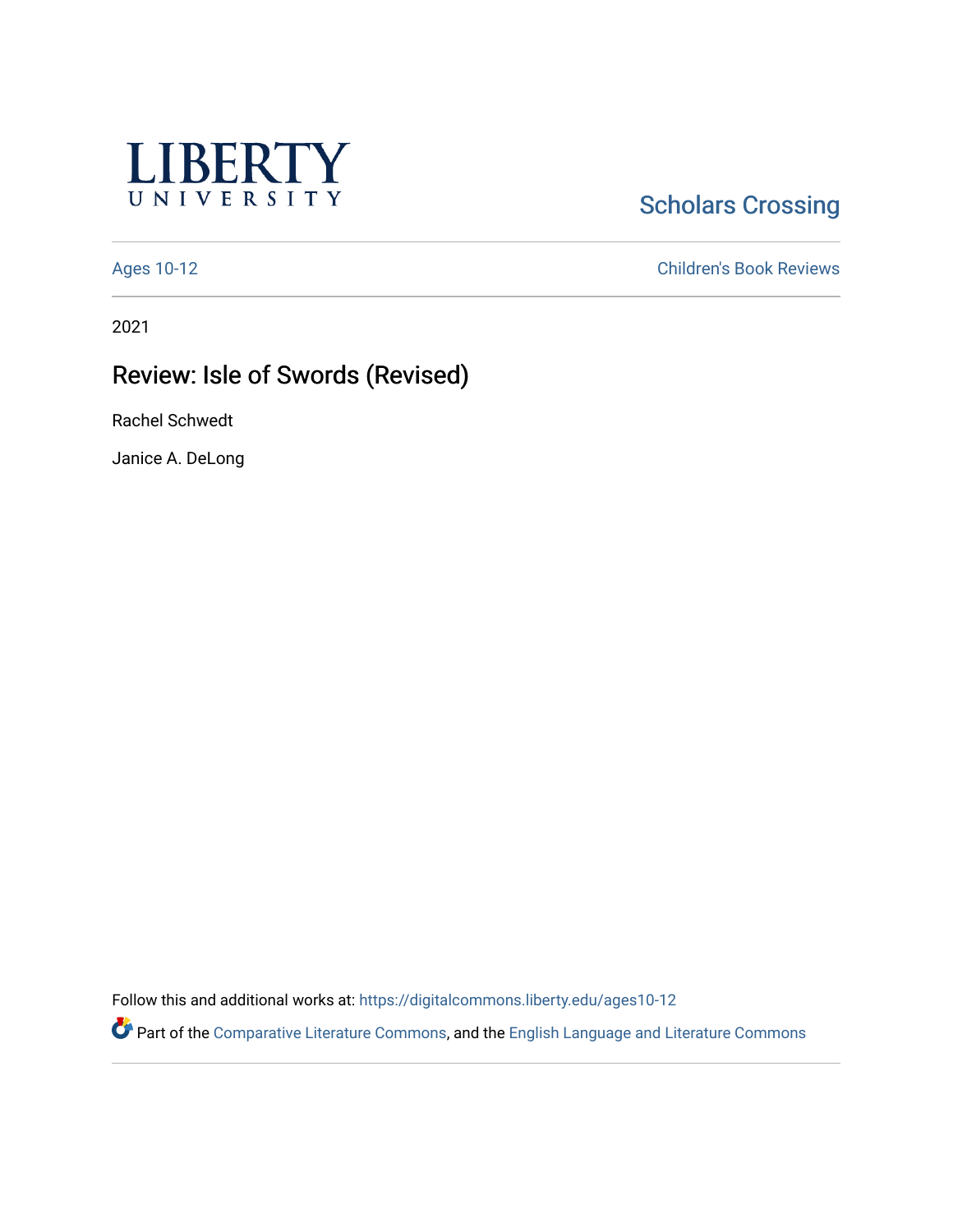

# **Scholars Crossing**

[Ages 10-12](https://digitalcommons.liberty.edu/ages10-12) [Children's Book Reviews](https://digitalcommons.liberty.edu/child_bookrev) 

2021

## Review: Isle of Swords (Revised)

Rachel Schwedt

Janice A. DeLong

Follow this and additional works at: [https://digitalcommons.liberty.edu/ages10-12](https://digitalcommons.liberty.edu/ages10-12?utm_source=digitalcommons.liberty.edu%2Fages10-12%2F28&utm_medium=PDF&utm_campaign=PDFCoverPages) 

Part of the [Comparative Literature Commons](http://network.bepress.com/hgg/discipline/454?utm_source=digitalcommons.liberty.edu%2Fages10-12%2F28&utm_medium=PDF&utm_campaign=PDFCoverPages), and the [English Language and Literature Commons](http://network.bepress.com/hgg/discipline/455?utm_source=digitalcommons.liberty.edu%2Fages10-12%2F28&utm_medium=PDF&utm_campaign=PDFCoverPages)